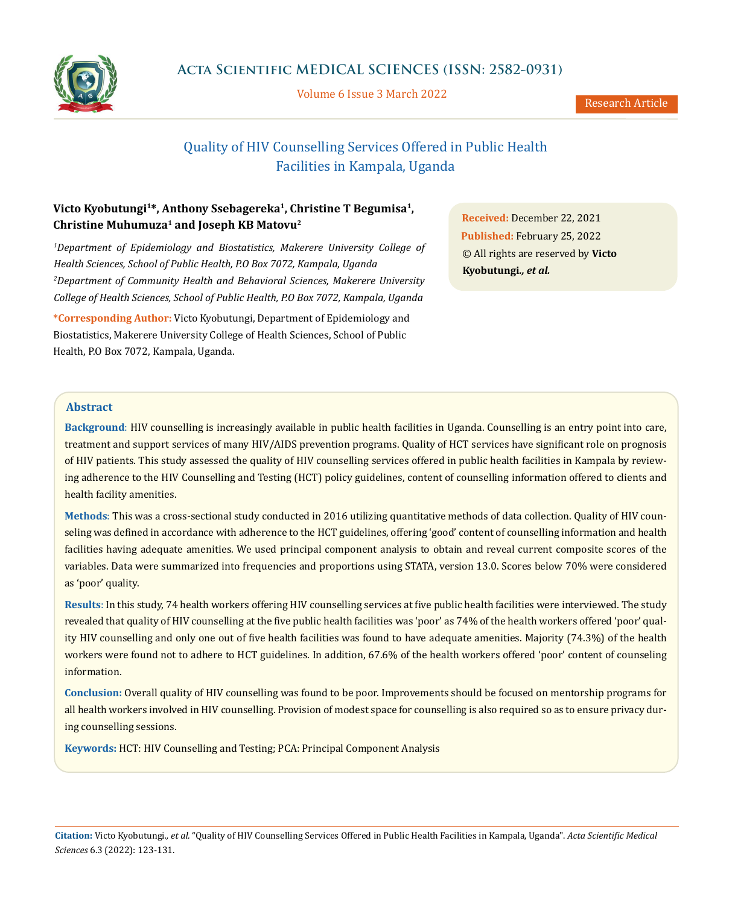

Volume 6 Issue 3 March 2022

# Quality of HIV Counselling Services Offered in Public Health Facilities in Kampala, Uganda

## Victo Kyobutungi<sup>1\*</sup>, Anthony Ssebagereka<sup>1</sup>, Christine T Begumisa<sup>1</sup>, **Christine Muhumuza1 and Joseph KB Matovu2**

<sup>1</sup>Department of Epidemiology and Biostatistics, Makerere University College of *Health Sciences, School of Public Health, P.O Box 7072, Kampala, Uganda* <sup>2</sup> Department of Community Health and Behavioral Sciences, Makerere University *College of Health Sciences, School of Public Health, P.O Box 7072, Kampala, Uganda*

**\*Corresponding Author:** Victo Kyobutungi, Department of Epidemiology and Biostatistics, Makerere University College of Health Sciences, School of Public Health, P.O Box 7072, Kampala, Uganda.

**Received:** December 22, 2021 **Published:** February 25, 2022 © All rights are reserved by **Victo Kyobutungi***., et al.*

## **Abstract**

**Background**: HIV counselling is increasingly available in public health facilities in Uganda. Counselling is an entry point into care, treatment and support services of many HIV/AIDS prevention programs. Quality of HCT services have significant role on prognosis of HIV patients. This study assessed the quality of HIV counselling services offered in public health facilities in Kampala by reviewing adherence to the HIV Counselling and Testing (HCT) policy guidelines, content of counselling information offered to clients and health facility amenities.

**Methods**: This was a cross-sectional study conducted in 2016 utilizing quantitative methods of data collection. Quality of HIV counseling was defined in accordance with adherence to the HCT guidelines, offering 'good' content of counselling information and health facilities having adequate amenities. We used principal component analysis to obtain and reveal current composite scores of the variables. Data were summarized into frequencies and proportions using STATA, version 13.0. Scores below 70% were considered as 'poor' quality.

**Results**: In this study, 74 health workers offering HIV counselling services at five public health facilities were interviewed. The study revealed that quality of HIV counselling at the five public health facilities was 'poor' as 74% of the health workers offered 'poor' quality HIV counselling and only one out of five health facilities was found to have adequate amenities. Majority (74.3%) of the health workers were found not to adhere to HCT guidelines. In addition, 67.6% of the health workers offered 'poor' content of counseling information.

**Conclusion:** Overall quality of HIV counselling was found to be poor. Improvements should be focused on mentorship programs for all health workers involved in HIV counselling. Provision of modest space for counselling is also required so as to ensure privacy during counselling sessions.

**Keywords:** HCT: HIV Counselling and Testing; PCA: Principal Component Analysis

**Citation:** Victo Kyobutungi*., et al.* "Quality of HIV Counselling Services Offered in Public Health Facilities in Kampala, Uganda". *Acta Scientific Medical Sciences* 6.3 (2022): 123-131.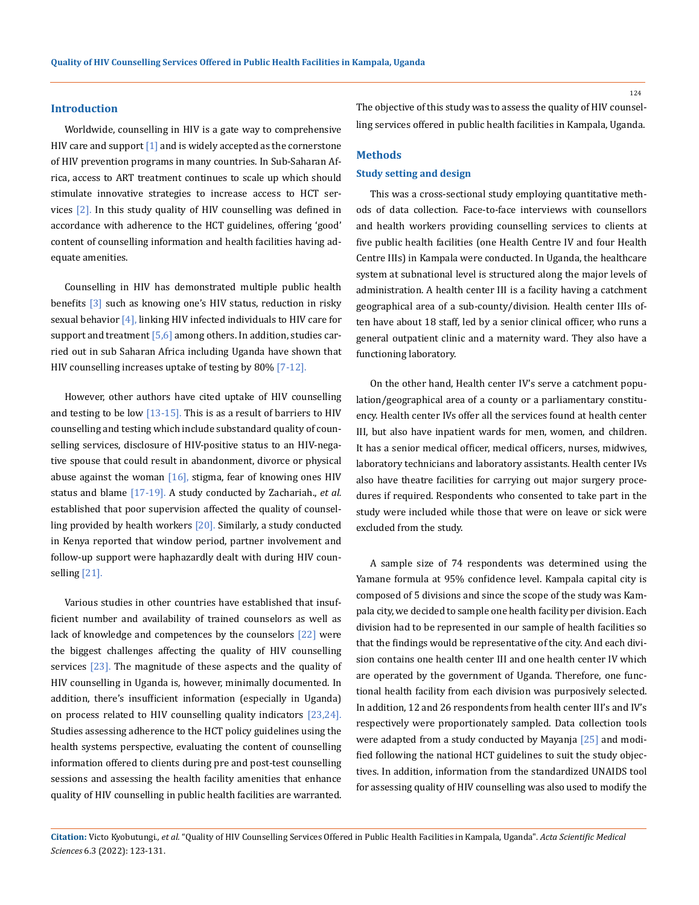#### **Introduction**

Worldwide, counselling in HIV is a gate way to comprehensive HIV care and support [1] and is widely accepted as the cornerstone of HIV prevention programs in many countries. In Sub-Saharan Africa, access to ART treatment continues to scale up which should stimulate innovative strategies to increase access to HCT services [2]. In this study quality of HIV counselling was defined in accordance with adherence to the HCT guidelines, offering 'good' content of counselling information and health facilities having adequate amenities.

Counselling in HIV has demonstrated multiple public health benefits [3] such as knowing one's HIV status, reduction in risky sexual behavior  $[4]$ , linking HIV infected individuals to HIV care for support and treatment  $[5,6]$  among others. In addition, studies carried out in sub Saharan Africa including Uganda have shown that HIV counselling increases uptake of testing by 80% [7-12].

However, other authors have cited uptake of HIV counselling and testing to be low  $[13-15]$ . This is as a result of barriers to HIV counselling and testing which include substandard quality of counselling services, disclosure of HIV-positive status to an HIV-negative spouse that could result in abandonment, divorce or physical abuse against the woman  $[16]$ , stigma, fear of knowing ones HIV status and blame [17-19]. A study conducted by Zachariah., *et al.* established that poor supervision affected the quality of counselling provided by health workers [20]. Similarly, a study conducted in Kenya reported that window period, partner involvement and follow-up support were haphazardly dealt with during HIV counselling [21].

Various studies in other countries have established that insufficient number and availability of trained counselors as well as lack of knowledge and competences by the counselors [22] were the biggest challenges affecting the quality of HIV counselling services [23]. The magnitude of these aspects and the quality of HIV counselling in Uganda is, however, minimally documented. In addition, there's insufficient information (especially in Uganda) on process related to HIV counselling quality indicators [23,24]. Studies assessing adherence to the HCT policy guidelines using the health systems perspective, evaluating the content of counselling information offered to clients during pre and post-test counselling sessions and assessing the health facility amenities that enhance quality of HIV counselling in public health facilities are warranted.

The objective of this study was to assess the quality of HIV counselling services offered in public health facilities in Kampala, Uganda.

#### **Methods**

#### **Study setting and design**

This was a cross-sectional study employing quantitative methods of data collection. Face-to-face interviews with counsellors and health workers providing counselling services to clients at five public health facilities (one Health Centre IV and four Health Centre IIIs) in Kampala were conducted. In Uganda, the healthcare system at subnational level is structured along the major levels of administration. A health center III is a facility having a catchment geographical area of a sub-county/division. Health center IIIs often have about 18 staff, led by a senior clinical officer, who runs a general outpatient clinic and a maternity ward. They also have a functioning laboratory.

On the other hand, Health center IV's serve a catchment population/geographical area of a county or a parliamentary constituency. Health center IVs offer all the services found at health center III, but also have inpatient wards for men, women, and children. It has a senior medical officer, medical officers, nurses, midwives, laboratory technicians and laboratory assistants. Health center IVs also have theatre facilities for carrying out major surgery procedures if required. Respondents who consented to take part in the study were included while those that were on leave or sick were excluded from the study.

A sample size of 74 respondents was determined using the Yamane formula at 95% confidence level. Kampala capital city is composed of 5 divisions and since the scope of the study was Kampala city, we decided to sample one health facility per division. Each division had to be represented in our sample of health facilities so that the findings would be representative of the city. And each division contains one health center III and one health center IV which are operated by the government of Uganda. Therefore, one functional health facility from each division was purposively selected. In addition, 12 and 26 respondents from health center III's and IV's respectively were proportionately sampled. Data collection tools were adapted from a study conducted by Mayanja [25] and modified following the national HCT guidelines to suit the study objectives. In addition, information from the standardized UNAIDS tool for assessing quality of HIV counselling was also used to modify the

**Citation:** Victo Kyobutungi*., et al.* "Quality of HIV Counselling Services Offered in Public Health Facilities in Kampala, Uganda". *Acta Scientific Medical Sciences* 6.3 (2022): 123-131.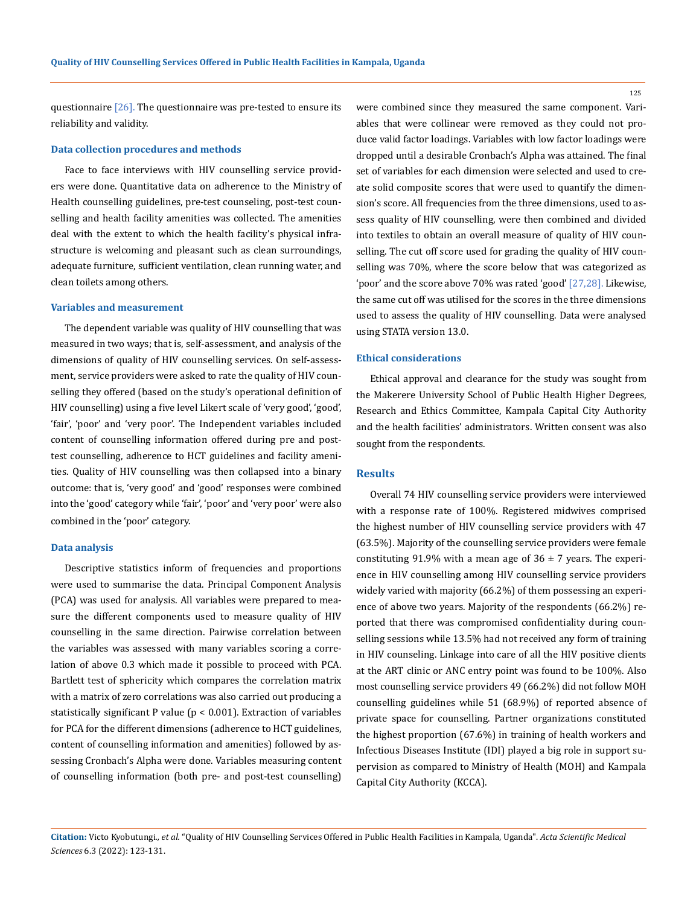125

questionnaire  $[26]$ . The questionnaire was pre-tested to ensure its reliability and validity.

#### **Data collection procedures and methods**

Face to face interviews with HIV counselling service providers were done. Quantitative data on adherence to the Ministry of Health counselling guidelines, pre-test counseling, post-test counselling and health facility amenities was collected. The amenities deal with the extent to which the health facility's physical infrastructure is welcoming and pleasant such as clean surroundings, adequate furniture, sufficient ventilation, clean running water, and clean toilets among others.

#### **Variables and measurement**

The dependent variable was quality of HIV counselling that was measured in two ways; that is, self-assessment, and analysis of the dimensions of quality of HIV counselling services. On self-assessment, service providers were asked to rate the quality of HIV counselling they offered (based on the study's operational definition of HIV counselling) using a five level Likert scale of 'very good', 'good', 'fair', 'poor' and 'very poor'. The Independent variables included content of counselling information offered during pre and posttest counselling, adherence to HCT guidelines and facility amenities. Quality of HIV counselling was then collapsed into a binary outcome: that is, 'very good' and 'good' responses were combined into the 'good' category while 'fair', 'poor' and 'very poor' were also combined in the 'poor' category.

#### **Data analysis**

Descriptive statistics inform of frequencies and proportions were used to summarise the data. Principal Component Analysis (PCA) was used for analysis. All variables were prepared to measure the different components used to measure quality of HIV counselling in the same direction. Pairwise correlation between the variables was assessed with many variables scoring a correlation of above 0.3 which made it possible to proceed with PCA. Bartlett test of sphericity which compares the correlation matrix with a matrix of zero correlations was also carried out producing a statistically significant P value ( $p < 0.001$ ). Extraction of variables for PCA for the different dimensions (adherence to HCT guidelines, content of counselling information and amenities) followed by assessing Cronbach's Alpha were done. Variables measuring content of counselling information (both pre- and post-test counselling) were combined since they measured the same component. Variables that were collinear were removed as they could not produce valid factor loadings. Variables with low factor loadings were dropped until a desirable Cronbach's Alpha was attained. The final set of variables for each dimension were selected and used to create solid composite scores that were used to quantify the dimension's score. All frequencies from the three dimensions, used to assess quality of HIV counselling, were then combined and divided into textiles to obtain an overall measure of quality of HIV counselling. The cut off score used for grading the quality of HIV counselling was 70%, where the score below that was categorized as 'poor' and the score above 70% was rated 'good' [27,28]. Likewise, the same cut off was utilised for the scores in the three dimensions used to assess the quality of HIV counselling. Data were analysed using STATA version 13.0.

#### **Ethical considerations**

Ethical approval and clearance for the study was sought from the Makerere University School of Public Health Higher Degrees, Research and Ethics Committee, Kampala Capital City Authority and the health facilities' administrators. Written consent was also sought from the respondents.

#### **Results**

Overall 74 HIV counselling service providers were interviewed with a response rate of 100%. Registered midwives comprised the highest number of HIV counselling service providers with 47 (63.5%). Majority of the counselling service providers were female constituting 91.9% with a mean age of  $36 \pm 7$  years. The experience in HIV counselling among HIV counselling service providers widely varied with majority (66.2%) of them possessing an experience of above two years. Majority of the respondents (66.2%) reported that there was compromised confidentiality during counselling sessions while 13.5% had not received any form of training in HIV counseling. Linkage into care of all the HIV positive clients at the ART clinic or ANC entry point was found to be 100%. Also most counselling service providers 49 (66.2%) did not follow MOH counselling guidelines while 51 (68.9%) of reported absence of private space for counselling. Partner organizations constituted the highest proportion (67.6%) in training of health workers and Infectious Diseases Institute (IDI) played a big role in support supervision as compared to Ministry of Health (MOH) and Kampala Capital City Authority (KCCA).

**Citation:** Victo Kyobutungi*., et al.* "Quality of HIV Counselling Services Offered in Public Health Facilities in Kampala, Uganda". *Acta Scientific Medical Sciences* 6.3 (2022): 123-131.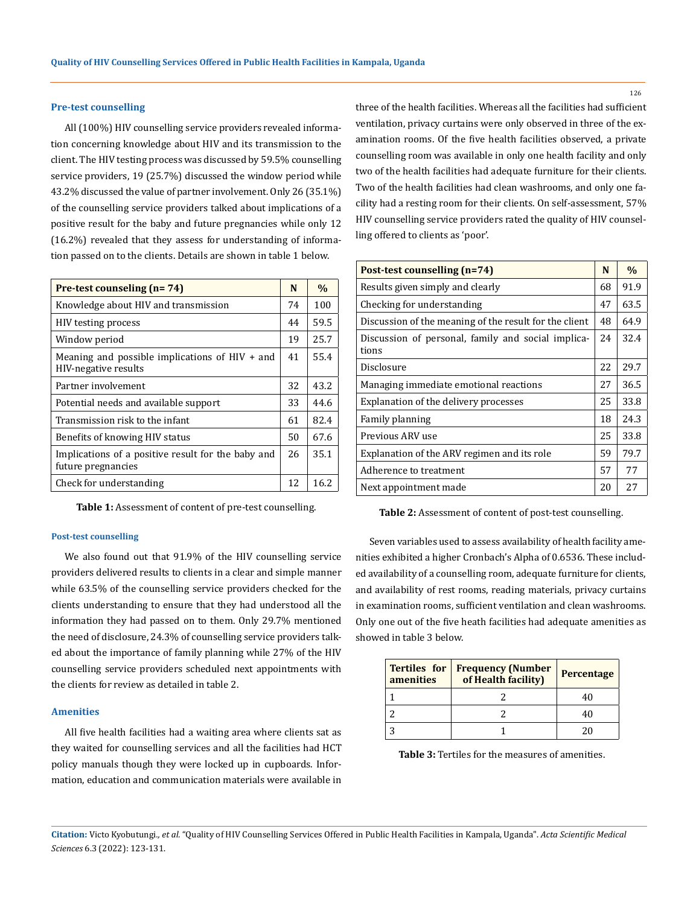#### **Pre-test counselling**

All (100%) HIV counselling service providers revealed information concerning knowledge about HIV and its transmission to the client. The HIV testing process was discussed by 59.5% counselling service providers, 19 (25.7%) discussed the window period while 43.2% discussed the value of partner involvement. Only 26 (35.1%) of the counselling service providers talked about implications of a positive result for the baby and future pregnancies while only 12 (16.2%) revealed that they assess for understanding of information passed on to the clients. Details are shown in table 1 below.

| Pre-test counseling (n= 74)                                              |    | $\%$ |
|--------------------------------------------------------------------------|----|------|
| Knowledge about HIV and transmission                                     | 74 | 100  |
| <b>HIV</b> testing process                                               | 44 | 59.5 |
| Window period                                                            | 19 | 25.7 |
| Meaning and possible implications of $HIV + and$<br>HIV-negative results | 41 | 55.4 |
| Partner involvement                                                      | 32 | 43.2 |
| Potential needs and available support                                    | 33 | 44.6 |
| Transmission risk to the infant                                          | 61 | 82.4 |
| Benefits of knowing HIV status                                           | 50 | 67.6 |
| Implications of a positive result for the baby and<br>future pregnancies | 26 | 35.1 |
| Check for understanding                                                  | 12 | 16.2 |

**Table 1:** Assessment of content of pre-test counselling.

#### **Post-test counselling**

We also found out that 91.9% of the HIV counselling service providers delivered results to clients in a clear and simple manner while 63.5% of the counselling service providers checked for the clients understanding to ensure that they had understood all the information they had passed on to them. Only 29.7% mentioned the need of disclosure, 24.3% of counselling service providers talked about the importance of family planning while 27% of the HIV counselling service providers scheduled next appointments with the clients for review as detailed in table 2.

#### **Amenities**

All five health facilities had a waiting area where clients sat as they waited for counselling services and all the facilities had HCT policy manuals though they were locked up in cupboards. Information, education and communication materials were available in three of the health facilities. Whereas all the facilities had sufficient ventilation, privacy curtains were only observed in three of the examination rooms. Of the five health facilities observed, a private counselling room was available in only one health facility and only two of the health facilities had adequate furniture for their clients. Two of the health facilities had clean washrooms, and only one facility had a resting room for their clients. On self-assessment, 57% HIV counselling service providers rated the quality of HIV counselling offered to clients as 'poor'.

| Post-test counselling (n=74)                                |    | $\frac{0}{0}$ |
|-------------------------------------------------------------|----|---------------|
| Results given simply and clearly                            |    | 91.9          |
| Checking for understanding                                  | 47 | 63.5          |
| Discussion of the meaning of the result for the client      | 48 | 64.9          |
| Discussion of personal, family and social implica-<br>tions | 24 | 32.4          |
| Disclosure                                                  | 22 | 29.7          |
| Managing immediate emotional reactions                      | 27 | 36.5          |
| Explanation of the delivery processes                       | 25 | 33.8          |
| Family planning                                             | 18 | 24.3          |
| Previous ARV use                                            | 25 | 33.8          |
| Explanation of the ARV regimen and its role                 | 59 | 79.7          |
| Adherence to treatment                                      | 57 | 77            |
| Next appointment made                                       | 20 | 27            |

**Table 2:** Assessment of content of post-test counselling.

Seven variables used to assess availability of health facility amenities exhibited a higher Cronbach's Alpha of 0.6536. These included availability of a counselling room, adequate furniture for clients, and availability of rest rooms, reading materials, privacy curtains in examination rooms, sufficient ventilation and clean washrooms. Only one out of the five heath facilities had adequate amenities as showed in table 3 below.

| <b>Tertiles</b> for<br>amenities | <b>Frequency (Number</b><br>of Health facility) | Percentage |
|----------------------------------|-------------------------------------------------|------------|
|                                  |                                                 |            |
|                                  |                                                 |            |
|                                  |                                                 |            |

**Table 3:** Tertiles for the measures of amenities.

**Citation:** Victo Kyobutungi*., et al.* "Quality of HIV Counselling Services Offered in Public Health Facilities in Kampala, Uganda". *Acta Scientific Medical Sciences* 6.3 (2022): 123-131.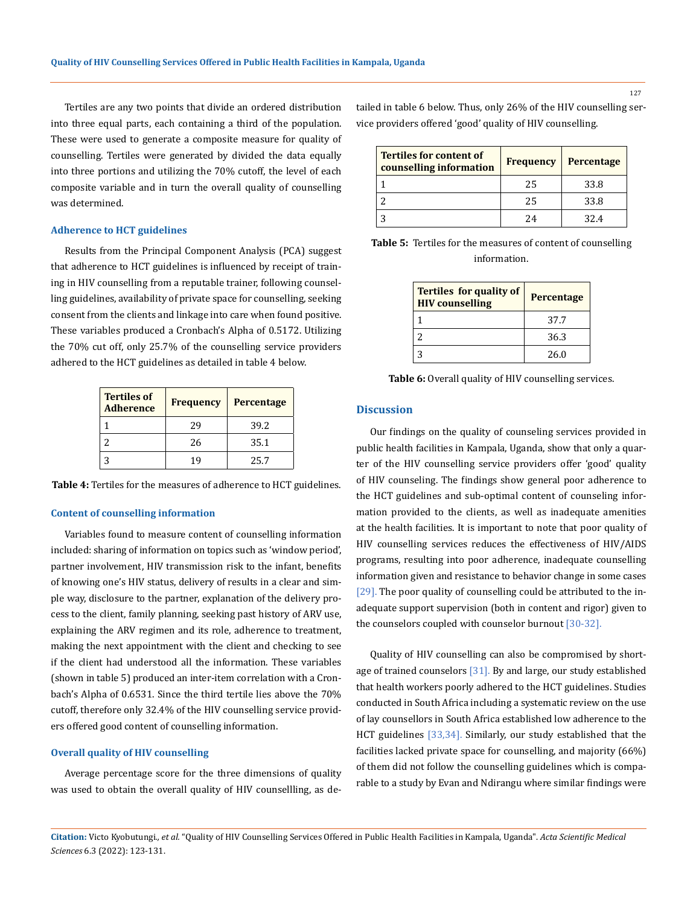Tertiles are any two points that divide an ordered distribution into three equal parts, each containing a third of the population. These were used to generate a composite measure for quality of counselling. Tertiles were generated by divided the data equally into three portions and utilizing the 70% cutoff, the level of each composite variable and in turn the overall quality of counselling was determined.

### **Adherence to HCT guidelines**

Results from the Principal Component Analysis (PCA) suggest that adherence to HCT guidelines is influenced by receipt of training in HIV counselling from a reputable trainer, following counselling guidelines, availability of private space for counselling, seeking consent from the clients and linkage into care when found positive. These variables produced a Cronbach's Alpha of 0.5172. Utilizing the 70% cut off, only 25.7% of the counselling service providers adhered to the HCT guidelines as detailed in table 4 below.

| <b>Tertiles of</b><br><b>Adherence</b> | <b>Frequency</b> | Percentage |
|----------------------------------------|------------------|------------|
|                                        | 29               | 39.2       |
|                                        | 26               | 35.1       |
|                                        | 19               | 25.7       |

**Table 4:** Tertiles for the measures of adherence to HCT guidelines.

#### **Content of counselling information**

Variables found to measure content of counselling information included: sharing of information on topics such as 'window period', partner involvement, HIV transmission risk to the infant, benefits of knowing one's HIV status, delivery of results in a clear and simple way, disclosure to the partner, explanation of the delivery process to the client, family planning, seeking past history of ARV use, explaining the ARV regimen and its role, adherence to treatment, making the next appointment with the client and checking to see if the client had understood all the information. These variables (shown in table 5) produced an inter-item correlation with a Cronbach's Alpha of 0.6531. Since the third tertile lies above the 70% cutoff, therefore only 32.4% of the HIV counselling service providers offered good content of counselling information.

#### **Overall quality of HIV counselling**

Average percentage score for the three dimensions of quality was used to obtain the overall quality of HIV counsellling, as detailed in table 6 below. Thus, only 26% of the HIV counselling service providers offered 'good' quality of HIV counselling.

| <b>Tertiles for content of</b><br>counselling information | <b>Frequency</b> | Percentage |
|-----------------------------------------------------------|------------------|------------|
|                                                           | 25               | 33.8       |
|                                                           | 25               | 33.8       |
|                                                           | 24               | 32.4       |

| <b>Table 5:</b> Tertiles for the measures of content of counselling |
|---------------------------------------------------------------------|
| information.                                                        |

| <b>Tertiles for quality of</b><br><b>HIV</b> counselling | <b>Percentage</b> |
|----------------------------------------------------------|-------------------|
|                                                          | 37.7              |
|                                                          | 36.3              |
| 2                                                        | 26.0              |

Table 6: Overall quality of HIV counselling services.

#### **Discussion**

Our findings on the quality of counseling services provided in public health facilities in Kampala, Uganda, show that only a quarter of the HIV counselling service providers offer 'good' quality of HIV counseling. The findings show general poor adherence to the HCT guidelines and sub-optimal content of counseling information provided to the clients, as well as inadequate amenities at the health facilities. It is important to note that poor quality of HIV counselling services reduces the effectiveness of HIV/AIDS programs, resulting into poor adherence, inadequate counselling information given and resistance to behavior change in some cases [29]. The poor quality of counselling could be attributed to the inadequate support supervision (both in content and rigor) given to the counselors coupled with counselor burnout [30-32].

Quality of HIV counselling can also be compromised by shortage of trained counselors [31]. By and large, our study established that health workers poorly adhered to the HCT guidelines. Studies conducted in South Africa including a systematic review on the use of lay counsellors in South Africa established low adherence to the HCT guidelines [33,34]. Similarly, our study established that the facilities lacked private space for counselling, and majority (66%) of them did not follow the counselling guidelines which is comparable to a study by Evan and Ndirangu where similar findings were

**Citation:** Victo Kyobutungi*., et al.* "Quality of HIV Counselling Services Offered in Public Health Facilities in Kampala, Uganda". *Acta Scientific Medical Sciences* 6.3 (2022): 123-131.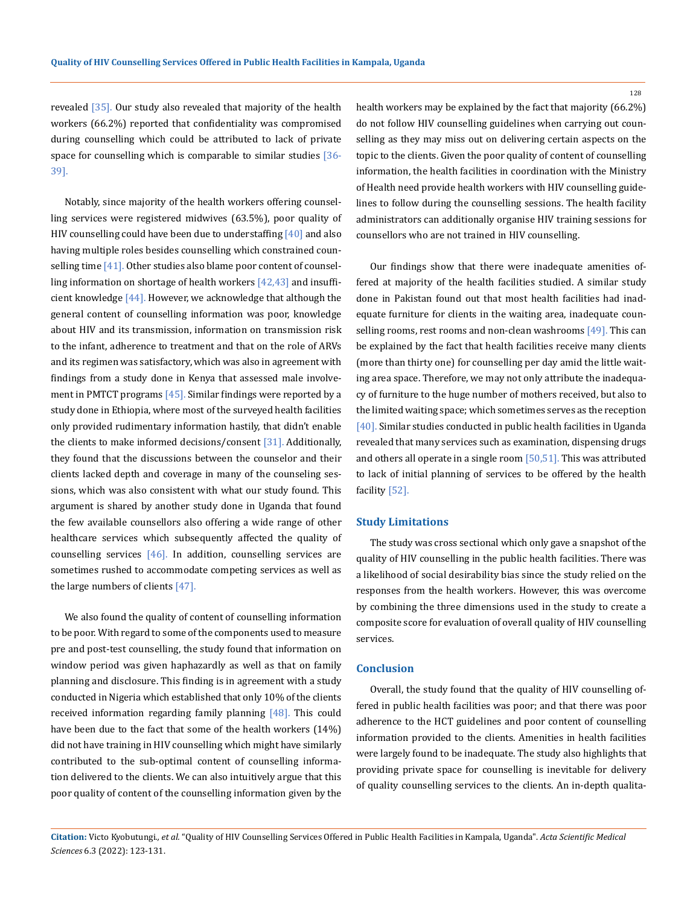revealed [35]. Our study also revealed that majority of the health workers (66.2%) reported that confidentiality was compromised during counselling which could be attributed to lack of private space for counselling which is comparable to similar studies  $[36-$ 39].

Notably, since majority of the health workers offering counselling services were registered midwives (63.5%), poor quality of HIV counselling could have been due to understaffing  $[40]$  and also having multiple roles besides counselling which constrained counselling time [41]. Other studies also blame poor content of counselling information on shortage of health workers [42,43] and insufficient knowledge  $[44]$ . However, we acknowledge that although the general content of counselling information was poor, knowledge about HIV and its transmission, information on transmission risk to the infant, adherence to treatment and that on the role of ARVs and its regimen was satisfactory, which was also in agreement with findings from a study done in Kenya that assessed male involvement in PMTCT programs  $[45]$ . Similar findings were reported by a study done in Ethiopia, where most of the surveyed health facilities only provided rudimentary information hastily, that didn't enable the clients to make informed decisions/consent [31]. Additionally, they found that the discussions between the counselor and their clients lacked depth and coverage in many of the counseling sessions, which was also consistent with what our study found. This argument is shared by another study done in Uganda that found the few available counsellors also offering a wide range of other healthcare services which subsequently affected the quality of counselling services  $[46]$ . In addition, counselling services are sometimes rushed to accommodate competing services as well as the large numbers of clients [47].

We also found the quality of content of counselling information to be poor. With regard to some of the components used to measure pre and post-test counselling, the study found that information on window period was given haphazardly as well as that on family planning and disclosure. This finding is in agreement with a study conducted in Nigeria which established that only 10% of the clients received information regarding family planning [48]. This could have been due to the fact that some of the health workers (14%) did not have training in HIV counselling which might have similarly contributed to the sub-optimal content of counselling information delivered to the clients. We can also intuitively argue that this poor quality of content of the counselling information given by the health workers may be explained by the fact that majority (66.2%) do not follow HIV counselling guidelines when carrying out counselling as they may miss out on delivering certain aspects on the topic to the clients. Given the poor quality of content of counselling information, the health facilities in coordination with the Ministry of Health need provide health workers with HIV counselling guidelines to follow during the counselling sessions. The health facility administrators can additionally organise HIV training sessions for counsellors who are not trained in HIV counselling.

Our findings show that there were inadequate amenities offered at majority of the health facilities studied. A similar study done in Pakistan found out that most health facilities had inadequate furniture for clients in the waiting area, inadequate counselling rooms, rest rooms and non-clean washrooms [49]. This can be explained by the fact that health facilities receive many clients (more than thirty one) for counselling per day amid the little waiting area space. Therefore, we may not only attribute the inadequacy of furniture to the huge number of mothers received, but also to the limited waiting space; which sometimes serves as the reception [40]. Similar studies conducted in public health facilities in Uganda revealed that many services such as examination, dispensing drugs and others all operate in a single room [50,51]. This was attributed to lack of initial planning of services to be offered by the health facility [52].

#### **Study Limitations**

The study was cross sectional which only gave a snapshot of the quality of HIV counselling in the public health facilities. There was a likelihood of social desirability bias since the study relied on the responses from the health workers. However, this was overcome by combining the three dimensions used in the study to create a composite score for evaluation of overall quality of HIV counselling services.

#### **Conclusion**

Overall, the study found that the quality of HIV counselling offered in public health facilities was poor; and that there was poor adherence to the HCT guidelines and poor content of counselling information provided to the clients. Amenities in health facilities were largely found to be inadequate. The study also highlights that providing private space for counselling is inevitable for delivery of quality counselling services to the clients. An in-depth qualita-

**Citation:** Victo Kyobutungi*., et al.* "Quality of HIV Counselling Services Offered in Public Health Facilities in Kampala, Uganda". *Acta Scientific Medical Sciences* 6.3 (2022): 123-131.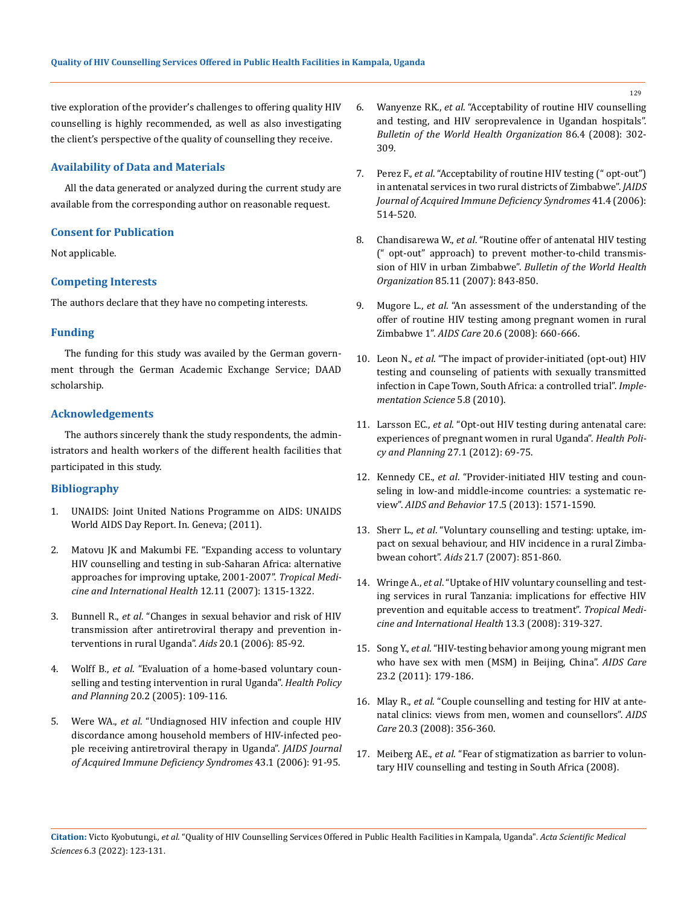tive exploration of the provider's challenges to offering quality HIV counselling is highly recommended, as well as also investigating the client's perspective of the quality of counselling they receive.

#### **Availability of Data and Materials**

All the data generated or analyzed during the current study are available from the corresponding author on reasonable request.

## **Consent for Publication**

Not applicable.

## **Competing Interests**

The authors declare that they have no competing interests.

#### **Funding**

The funding for this study was availed by the German government through the German Academic Exchange Service; DAAD scholarship.

## **Acknowledgements**

The authors sincerely thank the study respondents, the administrators and health workers of the different health facilities that participated in this study.

## **Bibliography**

- 1. [UNAIDS: Joint United Nations Programme on AIDS: UNAIDS](https://www.unaids.org/en/resources/documents/2011/20111121_JC2216_WorldAIDSday_report_2011)  [World AIDS Day Report. In. Geneva; \(2011\).](https://www.unaids.org/en/resources/documents/2011/20111121_JC2216_WorldAIDSday_report_2011)
- 2. [Matovu JK and Makumbi FE. "Expanding access to voluntary](https://pubmed.ncbi.nlm.nih.gov/17949401/)  [HIV counselling and testing in sub-Saharan Africa: alternative](https://pubmed.ncbi.nlm.nih.gov/17949401/)  [approaches for improving uptake, 2001-2007".](https://pubmed.ncbi.nlm.nih.gov/17949401/) *Tropical Medi[cine and International Health](https://pubmed.ncbi.nlm.nih.gov/17949401/)* 12.11 (2007): 1315-1322.
- 3. Bunnell R., *et al*[. "Changes in sexual behavior and risk of HIV](https://www.who.int/hiv/events/artprevention/bunnell_changes.pdf)  [transmission after antiretroviral therapy and prevention in](https://www.who.int/hiv/events/artprevention/bunnell_changes.pdf)[terventions in rural Uganda".](https://www.who.int/hiv/events/artprevention/bunnell_changes.pdf) *Aids* 20.1 (2006): 85-92.
- 4. Wolff B., *et al*[. "Evaluation of a home-based voluntary coun](https://pubmed.ncbi.nlm.nih.gov/15746219/)[selling and testing intervention in rural Uganda".](https://pubmed.ncbi.nlm.nih.gov/15746219/) *Health Policy and Planning* [20.2 \(2005\): 109-116.](https://pubmed.ncbi.nlm.nih.gov/15746219/)
- 5. Were WA., *et al*[. "Undiagnosed HIV infection and couple HIV](https://pubmed.ncbi.nlm.nih.gov/16885775/)  [discordance among household members of HIV-infected peo](https://pubmed.ncbi.nlm.nih.gov/16885775/)[ple receiving antiretroviral therapy in Uganda".](https://pubmed.ncbi.nlm.nih.gov/16885775/) *JAIDS Journal [of Acquired Immune Deficiency Syndromes](https://pubmed.ncbi.nlm.nih.gov/16885775/)* 43.1 (2006): 91-95.
- 6. Wanyenze RK., *et al*[. "Acceptability of routine HIV counselling](https://www.ncbi.nlm.nih.gov/pmc/articles/PMC2647415/)  [and testing, and HIV seroprevalence in Ugandan hospitals".](https://www.ncbi.nlm.nih.gov/pmc/articles/PMC2647415/)  *[Bulletin of the World Health Organization](https://www.ncbi.nlm.nih.gov/pmc/articles/PMC2647415/)* 86.4 (2008): 302- [309.](https://www.ncbi.nlm.nih.gov/pmc/articles/PMC2647415/)
- 7. Perez F., *et al*[. "Acceptability of routine HIV testing \(" opt-out"\)](https://pubmed.ncbi.nlm.nih.gov/16652062/)  [in antenatal services in two rural districts of Zimbabwe".](https://pubmed.ncbi.nlm.nih.gov/16652062/) *JAIDS [Journal of Acquired Immune Deficiency Syndromes](https://pubmed.ncbi.nlm.nih.gov/16652062/)* 41.4 (2006): [514-520.](https://pubmed.ncbi.nlm.nih.gov/16652062/)
- 8. Chandisarewa W., *et al*[. "Routine offer of antenatal HIV testing](https://pubmed.ncbi.nlm.nih.gov/18038074/)  [\(" opt-out" approach\) to prevent mother-to-child transmis](https://pubmed.ncbi.nlm.nih.gov/18038074/)sion of HIV in urban Zimbabwe". *[Bulletin of the World Health](https://pubmed.ncbi.nlm.nih.gov/18038074/)  Organization* [85.11 \(2007\): 843-850.](https://pubmed.ncbi.nlm.nih.gov/18038074/)
- 9. Mugore L., *et al*[. "An assessment of the understanding of the](https://pubmed.ncbi.nlm.nih.gov/18576167/)  [offer of routine HIV testing among pregnant women in rural](https://pubmed.ncbi.nlm.nih.gov/18576167/)  Zimbabwe 1". *AIDS Care* [20.6 \(2008\): 660-666.](https://pubmed.ncbi.nlm.nih.gov/18576167/)
- 10. Leon N., *et al*[. "The impact of provider-initiated \(opt-out\) HIV](https://www.ncbi.nlm.nih.gov/pmc/articles/PMC2825497/)  [testing and counseling of patients with sexually transmitted](https://www.ncbi.nlm.nih.gov/pmc/articles/PMC2825497/)  [infection in Cape Town, South Africa: a controlled trial".](https://www.ncbi.nlm.nih.gov/pmc/articles/PMC2825497/) *Imple[mentation Science](https://www.ncbi.nlm.nih.gov/pmc/articles/PMC2825497/)* 5.8 (2010).
- 11. Larsson EC., *et al*[. "Opt-out HIV testing during antenatal care:](https://pubmed.ncbi.nlm.nih.gov/21292708/)  [experiences of pregnant women in rural Uganda".](https://pubmed.ncbi.nlm.nih.gov/21292708/) *Health Poli[cy and Planning](https://pubmed.ncbi.nlm.nih.gov/21292708/)* 27.1 (2012): 69-75.
- 12. Kennedy CE., *et al*[. "Provider-initiated HIV testing and coun](https://pubmed.ncbi.nlm.nih.gov/22752501/)[seling in low-and middle-income countries: a systematic re](https://pubmed.ncbi.nlm.nih.gov/22752501/)view". *AIDS and Behavior* [17.5 \(2013\): 1571-1590.](https://pubmed.ncbi.nlm.nih.gov/22752501/)
- 13. Sherr L., *et al*[. "Voluntary counselling and testing: uptake, im](https://pubmed.ncbi.nlm.nih.gov/17415040/)[pact on sexual behaviour, and HIV incidence in a rural Zimba](https://pubmed.ncbi.nlm.nih.gov/17415040/)bwean cohort". *Aids* [21.7 \(2007\): 851-860.](https://pubmed.ncbi.nlm.nih.gov/17415040/)
- 14. Wringe A., *et al*[. "Uptake of HIV voluntary counselling and test](https://pubmed.ncbi.nlm.nih.gov/18397395/)[ing services in rural Tanzania: implications for effective HIV](https://pubmed.ncbi.nlm.nih.gov/18397395/)  [prevention and equitable access to treatment".](https://pubmed.ncbi.nlm.nih.gov/18397395/) *Tropical Medi[cine and International Health](https://pubmed.ncbi.nlm.nih.gov/18397395/)* 13.3 (2008): 319-327.
- 15. Song Y., *et al*[. "HIV-testing behavior among young migrant men](https://www.ncbi.nlm.nih.gov/pmc/articles/PMC3076143/)  [who have sex with men \(MSM\) in Beijing, China".](https://www.ncbi.nlm.nih.gov/pmc/articles/PMC3076143/) *AIDS Care* [23.2 \(2011\): 179-186.](https://www.ncbi.nlm.nih.gov/pmc/articles/PMC3076143/)
- 16. Mlay R., *et al*[. "Couple counselling and testing for HIV at ante](https://pubmed.ncbi.nlm.nih.gov/18351484/)[natal clinics: views from men, women and counsellors".](https://pubmed.ncbi.nlm.nih.gov/18351484/) *AIDS Care* [20.3 \(2008\): 356-360.](https://pubmed.ncbi.nlm.nih.gov/18351484/)
- 17. Meiberg AE., *et al*[. "Fear of stigmatization as barrier to volun](https://pubmed.ncbi.nlm.nih.gov/19024410/)[tary HIV counselling and testing in South Africa \(2008\).](https://pubmed.ncbi.nlm.nih.gov/19024410/)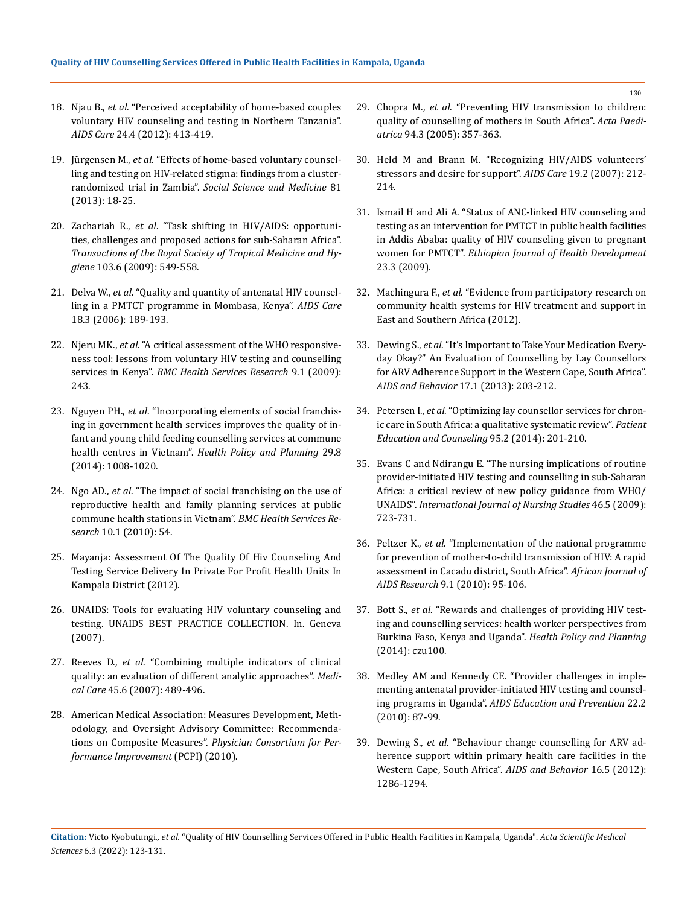- 18. Njau B., *et al*[. "Perceived acceptability of home-based couples](https://pubmed.ncbi.nlm.nih.gov/21939369/)  [voluntary HIV counseling and testing in Northern Tanzania".](https://pubmed.ncbi.nlm.nih.gov/21939369/)  *AIDS Care* [24.4 \(2012\): 413-419.](https://pubmed.ncbi.nlm.nih.gov/21939369/)
- 19. Jürgensen M., *et al*[. "Effects of home-based voluntary counsel](https://europepmc.org/article/med/23422056)[ling and testing on HIV-related stigma: findings from a cluster](https://europepmc.org/article/med/23422056)randomized trial in Zambia". *[Social Science and Medicine](https://europepmc.org/article/med/23422056)* 81 [\(2013\): 18-25.](https://europepmc.org/article/med/23422056)
- 20. Zachariah R., *et al*[. "Task shifting in HIV/AIDS: opportuni](https://pubmed.ncbi.nlm.nih.gov/18992905/)[ties, challenges and proposed actions for sub-Saharan Africa".](https://pubmed.ncbi.nlm.nih.gov/18992905/)  *[Transactions of the Royal Society of Tropical Medicine and Hy](https://pubmed.ncbi.nlm.nih.gov/18992905/)giene* [103.6 \(2009\): 549-558.](https://pubmed.ncbi.nlm.nih.gov/18992905/)
- 21. Delva W., *et al*[. "Quality and quantity of antenatal HIV counsel](https://www.researchgate.net/publication/7231713_Quality_and_quantity_of_antenatal_HIV_counselling_in_a_PMTCT_programme_in_Mombasa_Kenya)[ling in a PMTCT programme in Mombasa, Kenya".](https://www.researchgate.net/publication/7231713_Quality_and_quantity_of_antenatal_HIV_counselling_in_a_PMTCT_programme_in_Mombasa_Kenya) *AIDS Care* [18.3 \(2006\): 189-193.](https://www.researchgate.net/publication/7231713_Quality_and_quantity_of_antenatal_HIV_counselling_in_a_PMTCT_programme_in_Mombasa_Kenya)
- 22. Njeru MK., *et al*[. "A critical assessment of the WHO responsive](https://www.researchgate.net/publication/40759042_A_critical_assessment_of_the_WHO_responsiveness_tool_Lessons_from_voluntary_HIV_testing_and_counselling_services_in_Kenya)[ness tool: lessons from voluntary HIV testing and counselling](https://www.researchgate.net/publication/40759042_A_critical_assessment_of_the_WHO_responsiveness_tool_Lessons_from_voluntary_HIV_testing_and_counselling_services_in_Kenya)  services in Kenya". *[BMC Health Services Research](https://www.researchgate.net/publication/40759042_A_critical_assessment_of_the_WHO_responsiveness_tool_Lessons_from_voluntary_HIV_testing_and_counselling_services_in_Kenya)* 9.1 (2009): [243.](https://www.researchgate.net/publication/40759042_A_critical_assessment_of_the_WHO_responsiveness_tool_Lessons_from_voluntary_HIV_testing_and_counselling_services_in_Kenya)
- 23. Nguyen PH., *et al*[. "Incorporating elements of social franchis](https://academic.oup.com/heapol/article/29/8/1008/601035)[ing in government health services improves the quality of in](https://academic.oup.com/heapol/article/29/8/1008/601035)[fant and young child feeding counselling services at commune](https://academic.oup.com/heapol/article/29/8/1008/601035)  health centres in Vietnam". *[Health Policy and Planning](https://academic.oup.com/heapol/article/29/8/1008/601035)* 29.8 [\(2014\): 1008-1020.](https://academic.oup.com/heapol/article/29/8/1008/601035)
- 24. Ngo AD., *et al*[. "The impact of social franchising on the use of](https://pubmed.ncbi.nlm.nih.gov/20187974/)  [reproductive health and family planning services at public](https://pubmed.ncbi.nlm.nih.gov/20187974/)  [commune health stations in Vietnam".](https://pubmed.ncbi.nlm.nih.gov/20187974/) *BMC Health Services Research* [10.1 \(2010\): 54.](https://pubmed.ncbi.nlm.nih.gov/20187974/)
- 25. [Mayanja: Assessment Of The Quality Of Hiv Counseling And](http://www.musphcdc.ac.ug/files/pdf/Assessment%20of%20the%20quality%20of%20hiv%20counseling%20and%20testing%20service%20delivery%20in%20private%20for%20profit%20health%20units%20in%20kampala%20district.pdf)  [Testing Service Delivery In Private For Profit Health Units In](http://www.musphcdc.ac.ug/files/pdf/Assessment%20of%20the%20quality%20of%20hiv%20counseling%20and%20testing%20service%20delivery%20in%20private%20for%20profit%20health%20units%20in%20kampala%20district.pdf)  [Kampala District \(2012\).](http://www.musphcdc.ac.ug/files/pdf/Assessment%20of%20the%20quality%20of%20hiv%20counseling%20and%20testing%20service%20delivery%20in%20private%20for%20profit%20health%20units%20in%20kampala%20district.pdf)
- 26. [UNAIDS: Tools for evaluating HIV voluntary counseling and](https://data.unaids.org/publications/irc-pub02/jc685-tools-for-eval_en.pdf)  [testing. UNAIDS BEST PRACTICE COLLECTION. In. Geneva](https://data.unaids.org/publications/irc-pub02/jc685-tools-for-eval_en.pdf)  [\(2007\).](https://data.unaids.org/publications/irc-pub02/jc685-tools-for-eval_en.pdf)
- 27. Reeves D., *et al*[. "Combining multiple indicators of clinical](https://pubmed.ncbi.nlm.nih.gov/17515775/)  [quality: an evaluation of different analytic approaches".](https://pubmed.ncbi.nlm.nih.gov/17515775/) *Medical Care* [45.6 \(2007\): 489-496.](https://pubmed.ncbi.nlm.nih.gov/17515775/)
- 28. [American Medical Association: Measures Development, Meth](https://www.uptodate.com/contents/measuring-quality-in-hospitals-in-the-united-states)[odology, and Oversight Advisory Committee: Recommenda](https://www.uptodate.com/contents/measuring-quality-in-hospitals-in-the-united-states)tions on Composite Measures". *[Physician Consortium for Per](https://www.uptodate.com/contents/measuring-quality-in-hospitals-in-the-united-states)[formance Improvement](https://www.uptodate.com/contents/measuring-quality-in-hospitals-in-the-united-states)* (PCPI) (2010).
- 29. Chopra M., *et al*[. "Preventing HIV transmission to children:](https://pubmed.ncbi.nlm.nih.gov/16028656/)  [quality of counselling of mothers in South Africa".](https://pubmed.ncbi.nlm.nih.gov/16028656/) *Acta Paediatrica* [94.3 \(2005\): 357-363.](https://pubmed.ncbi.nlm.nih.gov/16028656/)
- 30. [Held M and Brann M. "Recognizing HIV/AIDS volunteers'](https://pubmed.ncbi.nlm.nih.gov/17364400/)  [stressors and desire for support".](https://pubmed.ncbi.nlm.nih.gov/17364400/) *AIDS Care* 19.2 (2007): 212- [214.](https://pubmed.ncbi.nlm.nih.gov/17364400/)
- 31. [Ismail H and Ali A. "Status of ANC-linked HIV counseling and](https://www.ajol.info/index.php/ejhd/article/view/53239)  [testing as an intervention for PMTCT in public health facilities](https://www.ajol.info/index.php/ejhd/article/view/53239)  [in Addis Ababa: quality of HIV counseling given to pregnant](https://www.ajol.info/index.php/ejhd/article/view/53239)  women for PMTCT". *[Ethiopian Journal of Health Development](https://www.ajol.info/index.php/ejhd/article/view/53239)* [23.3 \(2009\).](https://www.ajol.info/index.php/ejhd/article/view/53239)
- 32. Machingura F., *et al*[. "Evidence from participatory research on](https://www.tarsc.org/publications/documents/COBASYS_Synthesis%20Final%20Dec2011.pdf)  [community health systems for HIV treatment and support in](https://www.tarsc.org/publications/documents/COBASYS_Synthesis%20Final%20Dec2011.pdf)  [East and Southern Africa \(2012\).](https://www.tarsc.org/publications/documents/COBASYS_Synthesis%20Final%20Dec2011.pdf)
- 33. Dewing S., *et al*[. "It's Important to Take Your Medication Every](https://pubmed.ncbi.nlm.nih.gov/22610373/)[day Okay?" An Evaluation of Counselling by Lay Counsellors](https://pubmed.ncbi.nlm.nih.gov/22610373/)  [for ARV Adherence Support in the Western Cape, South Africa".](https://pubmed.ncbi.nlm.nih.gov/22610373/)  *AIDS and Behavior* [17.1 \(2013\): 203-212.](https://pubmed.ncbi.nlm.nih.gov/22610373/)
- 34. Petersen I., *et al*[. "Optimizing lay counsellor services for chron](https://www.sciencedirect.com/science/article/pii/S0738399114000524)[ic care in South Africa: a qualitative systematic review".](https://www.sciencedirect.com/science/article/pii/S0738399114000524) *Patient [Education and Counseling](https://www.sciencedirect.com/science/article/pii/S0738399114000524)* 95.2 (2014): 201-210.
- 35. [Evans C and Ndirangu E. "The nursing implications of routine](https://www.sciencedirect.com/science/article/abs/pii/S0020748908003350)  [provider-initiated HIV testing and counselling in sub-Saharan](https://www.sciencedirect.com/science/article/abs/pii/S0020748908003350)  [Africa: a critical review of new policy guidance from WHO/](https://www.sciencedirect.com/science/article/abs/pii/S0020748908003350) UNAIDS". *[International Journal of Nursing Studies](https://www.sciencedirect.com/science/article/abs/pii/S0020748908003350)* 46.5 (2009): [723-731.](https://www.sciencedirect.com/science/article/abs/pii/S0020748908003350)
- 36. Peltzer K., *et al*[. "Implementation of the national programme](https://pubmed.ncbi.nlm.nih.gov/25860417/)  [for prevention of mother-to-child transmission of HIV: A rapid](https://pubmed.ncbi.nlm.nih.gov/25860417/)  [assessment in Cacadu district, South Africa".](https://pubmed.ncbi.nlm.nih.gov/25860417/) *African Journal of AIDS Research* [9.1 \(2010\): 95-106.](https://pubmed.ncbi.nlm.nih.gov/25860417/)
- 37. Bott S., *et al*[. "Rewards and challenges of providing HIV test](https://pubmed.ncbi.nlm.nih.gov/25237134/)[ing and counselling services: health worker perspectives from](https://pubmed.ncbi.nlm.nih.gov/25237134/)  [Burkina Faso, Kenya and Uganda".](https://pubmed.ncbi.nlm.nih.gov/25237134/) *Health Policy and Planning* [\(2014\): czu100.](https://pubmed.ncbi.nlm.nih.gov/25237134/)
- 38. [Medley AM and Kennedy CE. "Provider challenges in imple](https://pubmed.ncbi.nlm.nih.gov/20387980/)[menting antenatal provider-initiated HIV testing and counsel](https://pubmed.ncbi.nlm.nih.gov/20387980/)ing programs in Uganda". *[AIDS Education and Prevention](https://pubmed.ncbi.nlm.nih.gov/20387980/)* 22.2 [\(2010\): 87-99.](https://pubmed.ncbi.nlm.nih.gov/20387980/)
- 39. Dewing S., *et al*[. "Behaviour change counselling for ARV ad](https://pubmed.ncbi.nlm.nih.gov/21983698/)[herence support within primary health care facilities in the](https://pubmed.ncbi.nlm.nih.gov/21983698/)  [Western Cape, South Africa".](https://pubmed.ncbi.nlm.nih.gov/21983698/) *AIDS and Behavior* 16.5 (2012): [1286-1294.](https://pubmed.ncbi.nlm.nih.gov/21983698/)

**Citation:** Victo Kyobutungi*., et al.* "Quality of HIV Counselling Services Offered in Public Health Facilities in Kampala, Uganda". *Acta Scientific Medical Sciences* 6.3 (2022): 123-131.